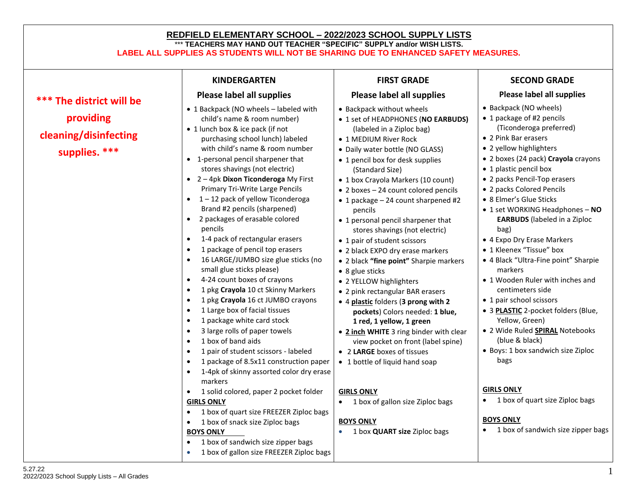## **REDFIELD ELEMENTARY SCHOOL – 2022/2023 SCHOOL SUPPLY LISTS**  \*\*\* **TEACHERS MAY HAND OUT TEACHER "SPECIFIC" SUPPLY and/or WISH LISTS. LABEL ALL SUPPLIES AS STUDENTS WILL NOT BE SHARING DUE TO ENHANCED SAFETY MEASURES.**

| Please label all supplies<br>*** The district will be<br>• 1 Backpack (NO wheels - labeled with<br>providing<br>child's name & room number)<br>• 1 lunch box & ice pack (if not<br>cleaning/disinfecting<br>purchasing school lunch) labeled<br>with child's name & room number<br>supplies. ***<br>• 1-personal pencil sharpener that<br>stores shavings (not electric)<br>$\bullet$ 2 - 4pk Dixon Ticonderoga My First<br>Primary Tri-Write Large Pencils<br>$\bullet$ 1 – 12 pack of yellow Ticonderoga                                                                                                                                                                                                                                                                                                                                                                                                                                                                                                                                                                    | Please label all supplies<br>• Backpack without wheels<br>• 1 set of HEADPHONES (NO EARBUDS)<br>(labeled in a Ziploc bag)<br>• 2 Pink Bar erasers<br>• 1 MEDIUM River Rock<br>• 2 yellow highlighters<br>• Daily water bottle (NO GLASS)<br>• 1 pencil box for desk supplies<br>• 1 plastic pencil box<br>(Standard Size)<br>• 1 box Crayola Markers (10 count)<br>• 2 boxes - 24 count colored pencils<br>• 8 Elmer's Glue Sticks<br>• 1 package - 24 count sharpened #2                                                                                                                                                                                                                                   | Please label all supplies<br>• Backpack (NO wheels)<br>• 1 package of #2 pencils<br>(Ticonderoga preferred)<br>• 2 boxes (24 pack) Crayola crayons<br>• 2 packs Pencil-Top erasers<br>• 2 packs Colored Pencils                                                                                                                                                                                                                                    |
|-------------------------------------------------------------------------------------------------------------------------------------------------------------------------------------------------------------------------------------------------------------------------------------------------------------------------------------------------------------------------------------------------------------------------------------------------------------------------------------------------------------------------------------------------------------------------------------------------------------------------------------------------------------------------------------------------------------------------------------------------------------------------------------------------------------------------------------------------------------------------------------------------------------------------------------------------------------------------------------------------------------------------------------------------------------------------------|-------------------------------------------------------------------------------------------------------------------------------------------------------------------------------------------------------------------------------------------------------------------------------------------------------------------------------------------------------------------------------------------------------------------------------------------------------------------------------------------------------------------------------------------------------------------------------------------------------------------------------------------------------------------------------------------------------------|----------------------------------------------------------------------------------------------------------------------------------------------------------------------------------------------------------------------------------------------------------------------------------------------------------------------------------------------------------------------------------------------------------------------------------------------------|
|                                                                                                                                                                                                                                                                                                                                                                                                                                                                                                                                                                                                                                                                                                                                                                                                                                                                                                                                                                                                                                                                               |                                                                                                                                                                                                                                                                                                                                                                                                                                                                                                                                                                                                                                                                                                             |                                                                                                                                                                                                                                                                                                                                                                                                                                                    |
| Brand #2 pencils (sharpened)<br>pencils<br>2 packages of erasable colored<br>$\bullet$<br>pencils<br>1-4 pack of rectangular erasers<br>$\bullet$<br>1 package of pencil top erasers<br>16 LARGE/JUMBO size glue sticks (no<br>small glue sticks please)<br>• 8 glue sticks<br>4-24 count boxes of crayons<br>$\bullet$<br>1 pkg Crayola 10 ct Skinny Markers<br>$\bullet$<br>1 pkg Crayola 16 ct JUMBO crayons<br>$\bullet$<br>1 Large box of facial tissues<br>$\bullet$<br>1 package white card stock<br>$\bullet$<br>3 large rolls of paper towels<br>$\bullet$<br>1 box of band aids<br>$\bullet$<br>1 pair of student scissors - labeled<br>$\bullet$<br>1 package of 8.5x11 construction paper<br>1-4pk of skinny assorted color dry erase<br>$\bullet$<br>markers<br>1 solid colored, paper 2 pocket folder<br><b>GIRLS ONLY</b><br>$\bullet$<br><b>GIRLS ONLY</b><br>1 box of quart size FREEZER Ziploc bags<br>$\bullet$<br><b>BOYS ONLY</b><br>1 box of snack size Ziploc bags<br>$\bullet$<br><b>BOYS ONLY</b><br>1 box of sandwich size zipper bags<br>$\bullet$ | • 1 personal pencil sharpener that<br>stores shavings (not electric)<br>bag)<br>• 1 pair of student scissors<br>• 2 black EXPO dry erase markers<br>• 2 black "fine point" Sharpie markers<br>markers<br>• 2 YELLOW highlighters<br>• 2 pink rectangular BAR erasers<br>• 1 pair school scissors<br>• 4 plastic folders (3 prong with 2<br>pockets) Colors needed: 1 blue,<br>1 red, 1 yellow, 1 green<br>• 2 inch WHITE 3 ring binder with clear<br>(blue & black)<br>view pocket on front (label spine)<br>• 2 LARGE boxes of tissues<br>bags<br>• 1 bottle of liquid hand soap<br><b>GIRLS ONLY</b><br>$\bullet$<br>1 box of gallon size Ziploc bags<br><b>BOYS ONLY</b><br>1 box QUART size Ziploc bags | • 1 set WORKING Headphones - NO<br><b>EARBUDS</b> (labeled in a Ziploc<br>• 4 Expo Dry Erase Markers<br>• 1 Kleenex "Tissue" box<br>· 4 Black "Ultra-Fine point" Sharpie<br>• 1 Wooden Ruler with inches and<br>centimeters side<br>• 3 PLASTIC 2-pocket folders (Blue,<br>Yellow, Green)<br>· 2 Wide Ruled <b>SPIRAL</b> Notebooks<br>• Boys: 1 box sandwich size Ziploc<br>1 box of quart size Ziploc bags<br>1 box of sandwich size zipper bags |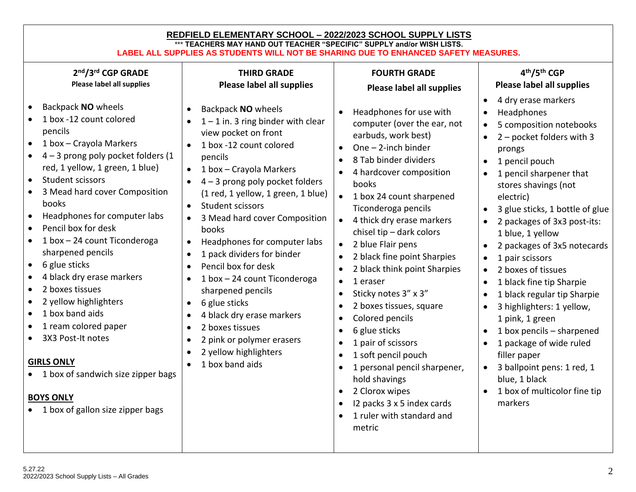| <b>FOURTH GRADE</b><br>Please label all supplies<br>Headphones for use with<br>computer (over the ear, not<br>earbuds, work best)<br>One - 2-inch binder<br>$\bullet$<br>8 Tab binder dividers<br>4 hardcover composition<br>books<br>1 box 24 count sharpened<br>Ticonderoga pencils<br>• 4 thick dry erase markers<br>chisel tip - dark colors<br>2 blue Flair pens<br>2 black fine point Sharpies<br>2 black think point Sharpies<br>1 eraser<br>$\bullet$<br>Sticky notes 3" x 3"<br>$\bullet$<br>2 boxes tissues, square<br>$\bullet$<br>Colored pencils<br>$\bullet$<br>6 glue sticks<br>$\bullet$<br>1 pair of scissors<br>$\bullet$ | 4th/5th CGP<br>Please label all supplies<br>4 dry erase markers<br>Headphones<br>5 composition notebooks<br>2 - pocket folders with 3<br>prongs<br>1 pencil pouch<br>1 pencil sharpener that<br>stores shavings (not<br>electric)<br>3 glue sticks, 1 bottle of glue<br>2 packages of 3x3 post-its:<br>1 blue, 1 yellow<br>2 packages of 3x5 notecards<br>1 pair scissors<br>2 boxes of tissues<br>$\bullet$<br>1 black fine tip Sharpie<br>1 black regular tip Sharpie<br>3 highlighters: 1 yellow,<br>1 pink, 1 green<br>1 box pencils - sharpened<br>$\bullet$<br>1 package of wide ruled |
|---------------------------------------------------------------------------------------------------------------------------------------------------------------------------------------------------------------------------------------------------------------------------------------------------------------------------------------------------------------------------------------------------------------------------------------------------------------------------------------------------------------------------------------------------------------------------------------------------------------------------------------------|----------------------------------------------------------------------------------------------------------------------------------------------------------------------------------------------------------------------------------------------------------------------------------------------------------------------------------------------------------------------------------------------------------------------------------------------------------------------------------------------------------------------------------------------------------------------------------------------|
| 1 soft pencil pouch<br>$\bullet$<br>1 personal pencil sharpener,<br>hold shavings<br>2 Clorox wipes<br>$\bullet$<br>12 packs 3 x 5 index cards<br>$\bullet$<br>1 ruler with standard and<br>metric                                                                                                                                                                                                                                                                                                                                                                                                                                          | filler paper<br>3 ballpoint pens: 1 red, 1<br>blue, 1 black<br>1 box of multicolor fine tip<br>markers                                                                                                                                                                                                                                                                                                                                                                                                                                                                                       |
| Please label all supplies                                                                                                                                                                                                                                                                                                                                                                                                                                                                                                                                                                                                                   | REDFIELD ELEMENTARY SCHOOL - 2022/2023 SCHOOL SUPPLY LISTS<br>*** TEACHERS MAY HAND OUT TEACHER "SPECIFIC" SUPPLY and/or WISH LISTS.<br>LABEL ALL SUPPLIES AS STUDENTS WILL NOT BE SHARING DUE TO ENHANCED SAFETY MEASURES.<br>$1 - 1$ in. 3 ring binder with clear<br>$4 - 3$ prong poly pocket folders<br>(1 red, 1 yellow, 1 green, 1 blue)<br>3 Mead hard cover Composition<br>Headphones for computer labs<br>1 box - 24 count Ticonderoga                                                                                                                                              |